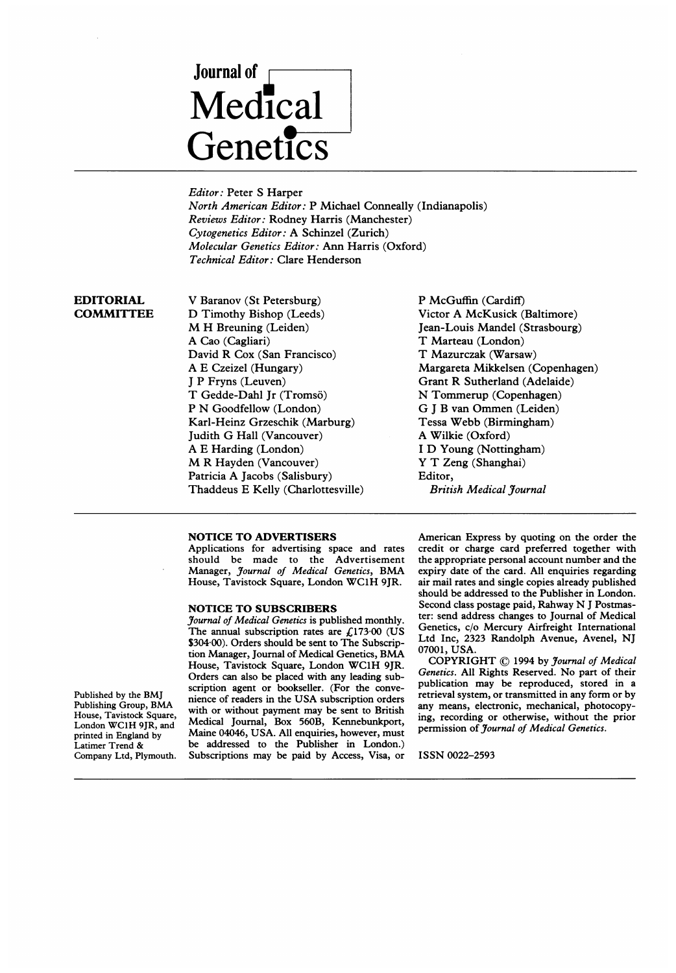# Journal of Medical **Genetics**

Editor: Peter S Harper North American Editor: P Michael Conneally (Indianapolis) Reviews Editor: Rodney Harris (Manchester) Cytogenetics Editor: A Schinzel (Zurich) Molecular Genetics Editor: Ann Harris (Oxford) Technical Editor: Clare Henderson

## EDITORIAL **COMMITTEE**

V Baranov (St Petersburg) D Timothy Bishop (Leeds) M H Breuning (Leiden) A Cao (Cagliari) David R Cox (San Francisco) A E Czeizel (Hungary) <sup>J</sup> P Fryns (Leuven) T Gedde-Dahl Jr (Tromsö) P N Goodfellow (London) Karl-Heinz Grzeschik (Marburg) Judith G Hall (Vancouver) A E Harding (London) M R Hayden (Vancouver) Patricia A Jacobs (Salisbury) Thaddeus E Kelly (Charlottesville) P McGuffin (Cardiff) Victor A McKusick (Baltimore) Jean-Louis Mandel (Strasbourg) T Marteau (London) T Mazurczak (Warsaw) Margareta Mikkelsen (Copenhagen) Grant R Sutherland (Adelaide) N Tommerup (Copenhagen) G <sup>J</sup> B van Ommen (Leiden) Tessa Webb (Birmingham) A Wilkie (Oxford) <sup>I</sup> D Young (Nottingham) Y T Zeng (Shanghai) Editor, British Medical Journal

### NOTICE TO ADVERTISERS

Applications for advertising space and rates should be made to the Advertisement Manager, Journal of Medical Genetics, BMA House, Tavistock Square, London WC1H 9JR.

#### NOTICE TO SUBSCRIBERS

Journal of Medical Genetics is published monthly. The annual subscription rates are  $\text{\textsterling}173\text{-}00$  (US \$304 00). Orders should be sent to The Subscription Manager, Journal of Medical Genetics, BMA House, Tavistock Square, London WC1H 9JR. Orders can also be placed with any leading subscription agent or bookseller. (For the convenience of readers in the USA subscription orders with or without payment may be sent to British Medical Journal, Box 560B, Kennebunkport, Maine 04046, USA. All enquiries, however, must be addressed to the Publisher in London.) Subscriptions may be paid by Access, Visa, or

American Express by quoting on the order the credit or charge card preferred together with the appropriate personal account number and the expiry date of the card. All enquiries regarding air mail rates and single copies already published should be addressed to the Publisher in London. Second class postage paid, Rahway N <sup>J</sup> Postmaster: send address changes to Journal of Medical Genetics, c/o Mercury Airfreight International Ltd Inc, 2323 Randolph Avenue, Avenel, NJ 07001, USA.

COPYRIGHT ©) <sup>1994</sup> by Journal of Medical Genetics. All Rights Reserved. No part of their publication may be reproduced, stored in a retrieval system, or transmitted in any form or by any means, electronic, mechanical, photocopying, recording or otherwise, without the prior permission of Journal of Medical Genetics.

ISSN 0022-2593

Published by the BMJ Publishing Group, BMA House, Tavistock Square, London WC1H 9JR, and printed in England by Latimer Trend & Company Ltd, Plymouth.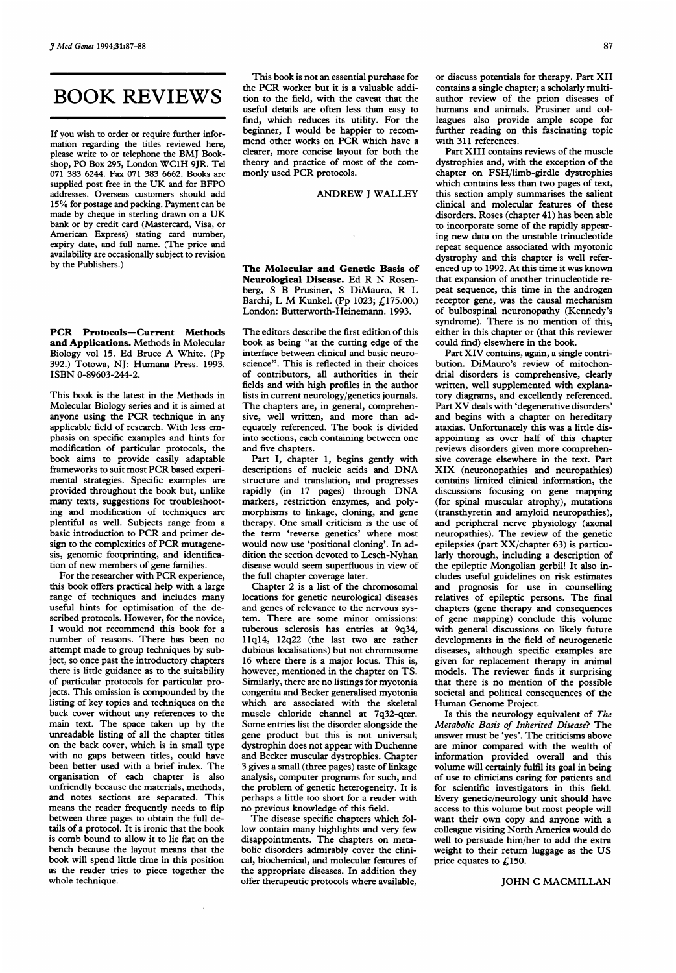# BOOK REVIEWS

If you wish to order or require further information regarding the titles reviewed here, please write to or telephone the BMJ Bookshop, PO Box 295, London WC1H 9JR. Tel 071 383 6244. Fax 071 383 6662. Books are supplied post free in the UK and for BFPO addresses. Overseas customers should add 15% for postage and packing. Payment can be made by cheque in sterling drawn on <sup>a</sup> UK bank or by credit card (Mastercard, Visa, or American Express) stating card number, expiry date, and full name. (The price and availability are occasionally subject to revision by the Publishers.)

PCR Protocols-Current Methods and Applications. Methods in Molecular Biology vol 15. Ed Bruce A White. (Pp 392.) Totowa, NJ: Humana Press. 1993. ISBN 0-89603-244-2.

This book is the latest in the Methods in Molecular Biology series and it is aimed at anyone using the PCR technique in any applicable field of research. With less emphasis on specific examples and hints for modification of particular protocols, the book aims to provide easily adaptable frameworks to suit most PCR based experimental strategies. Specific examples are provided throughout the book but, unlike many texts, suggestions for troubleshooting and modification of techniques are plentiful as well. Subjects range from a basic introduction to PCR and primer design to the complexities of PCR mutagenesis, genomic footprinting, and identification of new members of gene families.

For the researcher with PCR experience, this book offers practical help with a large range of techniques and includes many useful hints for optimisation of the described protocols. However, for the novice, <sup>I</sup> would not recommend this book for a number of reasons. There has been no attempt made to group techniques by subject, so once past the introductory chapters there is little guidance as to the suitability of particular protocols for particular projects. This omission is compounded by the listing of key topics and techniques on the back cover without any references to the main text. The space taken up by the unreadable listing of all the chapter titles on the back cover, which is in small type with no gaps between titles, could have been better used with a brief index. The organisation of each chapter is also unfriendly because the materials, methods, and notes sections are separated. This means the reader frequently needs to flip between three pages to obtain the full details of a protocol. It is ironic that the book is comb bound to allow it to lie flat on the bench because the layout means that the book will spend little time in this position as the reader tries to piece together the whole technique.

This book is not an essential purchase for the PCR worker but it is <sup>a</sup> valuable addition to the field, with the caveat that the useful details are often less than easy to find, which reduces its utility. For the beginner, <sup>I</sup> would be happier to recommend other works on PCR which have <sup>a</sup> clearer, more concise layout for both the theory and practice of most of the commonly used PCR protocols.

ANDREW <sup>J</sup> WALLEY

The Molecular and Genetic Basis of Neurological Disease. Ed R N Rosenberg, S B Prusiner, <sup>S</sup> DiMauro, R L Barchi, <sup>L</sup> M Kunkel. (Pp 1023; £175.00.) London: Butterworth-Heinemann. 1993.

The editors describe the first edition of this book as being "at the cutting edge of the interface between clinical and basic neuroscience". This is reflected in their choices of contributors, all authorities in their fields and with high profiles in the author lists in current neurology/genetics journals. The chapters are, in general, comprehensive, well written, and more than adequately referenced. The book is divided into sections, each containing between one and five chapters.

Part I, chapter 1, begins gently with descriptions of nucleic acids and DNA structure and translation, and progresses rapidly (in <sup>17</sup> pages) through DNA markers, restriction enzymes, and polymorphisms to linkage, cloning, and gene therapy. One small criticism is the use of the term 'reverse genetics' where most would now use 'positional cloning'. In addition the section devoted to Lesch-Nyhan disease would seem superfluous in view of the full chapter coverage later.

Chapter 2 is a list of the chromosomal locations for genetic neurological diseases and genes of relevance to the nervous system. There are some minor omissions: tuberous sclerosis has entries at 9q34, <sup>1</sup> 1q14, 12q22 (the last two are rather dubious localisations) but not chromosome 16 where there is a major locus. This is, however, mentioned in the chapter on TS. Similarly, there are no listings for myotonia congenita and Becker generalised myotonia which are associated with the skeletal muscle chloride channel at 7q32-qter. Some entries list the disorder alongside the gene product but this is not universal; dystrophin does not appear with Duchenne and Becker muscular dystrophies. Chapter 3 gives a small (three pages) taste of linkage analysis, computer programs for such, and the problem of genetic heterogeneity. It is perhaps a little too short for a reader with no previous knowledge of this field.

The disease specific chapters which follow contain many highlights and very few disappointments. The chapters on metabolic disorders admirably cover the clinical, biochemical, and molecular features of the appropriate diseases. In addition they offer therapeutic protocols where available,

or discuss potentials for therapy. Part XII contains a single chapter; a scholarly multiauthor review of the prion diseases of humans and animals. Prusiner and colleagues also provide ample scope for further reading on this fascinating topic with 311 references.

Part XIII contains reviews of the muscle dystrophies and, with the exception of the chapter on FSH/limb-girdle dystrophies which contains less than two pages of text, this section amply summarises the salient clinical and molecular features of these disorders. Roses (chapter 41) has been able to incorporate some of the rapidly appearing new data on the unstable trinucleotide repeat sequence associated with myotonic dystrophy and this chapter is well referenced up to 1992. At this time it was known that expansion of another trinucleotide repeat sequence, this time in the androgen receptor gene, was the causal mechanism of bulbospinal neuronopathy (Kennedy's syndrome). There is no mention of this, either in this chapter or (that this reviewer could find) elsewhere in the book.

Part XIV contains, again, <sup>a</sup> single contribution. DiMauro's review of mitochondrial disorders is comprehensive, clearly written, well supplemented with explanatory diagrams, and excellently referenced. Part XV deals with 'degenerative disorders' and begins with a chapter on hereditary ataxias. Unfortunately this was a little disappointing as over half of this chapter reviews disorders given more comprehensive coverage elsewhere in the text. Part XIX (neuronopathies and neuropathies) contains limited clinical information, the discussions focusing on gene mapping (for spinal muscular atrophy), mutations (transthyretin and amyloid neuropathies), and peripheral nerve physiology (axonal neuropathies). The review of the genetic epilepsies (part XX/chapter 63) is particularly thorough, including a description of the epileptic Mongolian gerbil! It also includes useful guidelines on risk estimates and prognosis for use in counselling relatives of epileptic persons. The final chapters (gene therapy and consequences of gene mapping) conclude this volume with general discussions on likely future developments in the field of neurogenetic diseases, although specific examples are given for replacement therapy in animal models. The reviewer finds it surprising that there is no mention of the possible societal and political consequences of the Human Genome Project.

Is this the neurology equivalent of The Metabolic Basis of Inherited Disease? The answer must be 'yes'. The criticisms above are minor compared with the wealth of information provided overall and this volume will certainly fulfil its goal in being of use to clinicians caring for patients and for scientific investigators in this field. Every genetic/neurology unit should have access to this volume but most people will want their own copy and anyone with a colleague visiting North America would do well to persuade him/her to add the extra weight to their return luggage as the US price equates to  $\angle 150$ .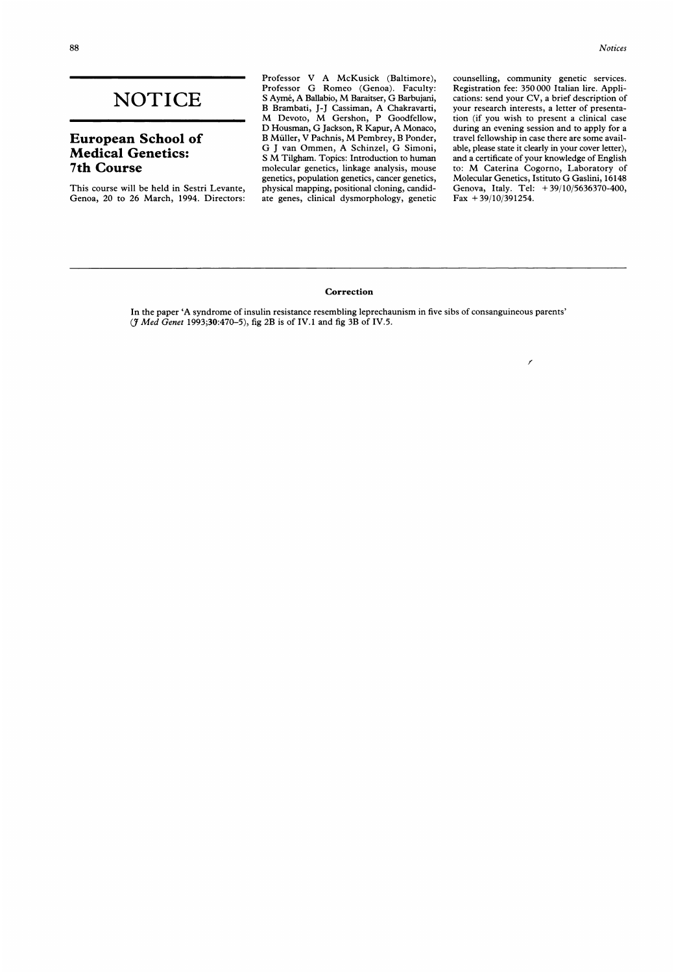# **NOTICE**

# European School of Medical Genetics: 7th Course

This course will be held in Sestri Levante, Genoa, 20 to 26 March, 1994. Directors: Professor V A McKusick (Baltimore), Professor G Romeo (Genoa). Faculty: <sup>S</sup> Ayme, A Ballabio, M Baraitser, G Barbujani, B Brambati, J-J Cassiman, A Chakravarti, M Devoto, M Gershon, <sup>P</sup> Goodfellow, D Housman, G Jackson, R Kapur, A Monaco, <sup>B</sup> Muiller, V Pachnis, M Pembrey, <sup>B</sup> Ponder, G <sup>J</sup> van Ommen, A Schinzel, G Simoni, <sup>S</sup> M Tilgham. Topics: Introduction to human molecular genetics, linkage analysis, mouse genetics, population genetics, cancer genetics, physical mapping, positional cloning, candidate genes, clinical dysmorphology, genetic counselling, community genetic services. Registration fee: 350 000 Italian lire. Applications: send your CV, a brief description of your research interests, a letter of presentation (if you wish to present a clinical case during an evening session and to apply for a travel fellowship in case there are some available, please state it clearly in your cover letter), and a certificate of your knowledge of English to: M Caterina Cogorno, Laboratory of Molecular Genetics, Istituto G Gaslini, <sup>16148</sup> Genova, Italy. Tel: + 39/10/5636370-400, Fax  $+39/10/391254$ .

Ź

#### Correction

In the paper 'A syndrome of insulin resistance resembling leprechaunism in five sibs of consanguineous parents' (J Med Genet 1993;30:470-5), fig 2B is of IV.1 and fig 3B of IV.5.